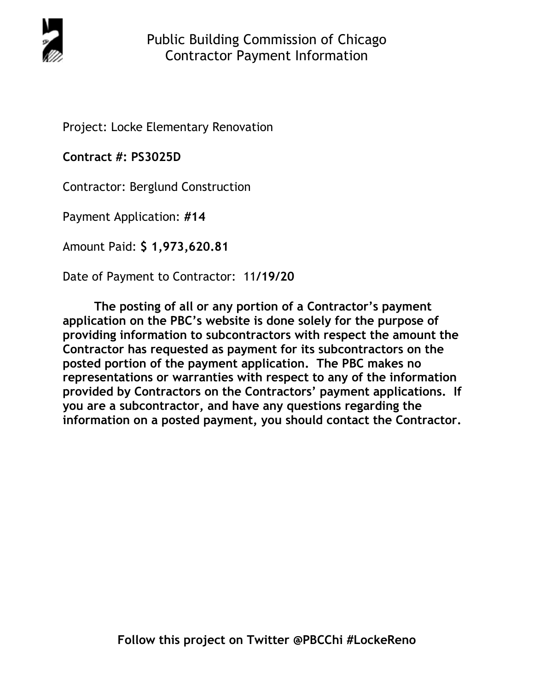

Project: Locke Elementary Renovation

**Contract #: PS3025D**

Contractor: Berglund Construction

Payment Application: **#14** 

Amount Paid: **\$ 1,973,620.81** 

Date of Payment to Contractor: 11**/19/20** 

**The posting of all or any portion of a Contractor's payment application on the PBC's website is done solely for the purpose of providing information to subcontractors with respect the amount the Contractor has requested as payment for its subcontractors on the posted portion of the payment application. The PBC makes no representations or warranties with respect to any of the information provided by Contractors on the Contractors' payment applications. If you are a subcontractor, and have any questions regarding the information on a posted payment, you should contact the Contractor.**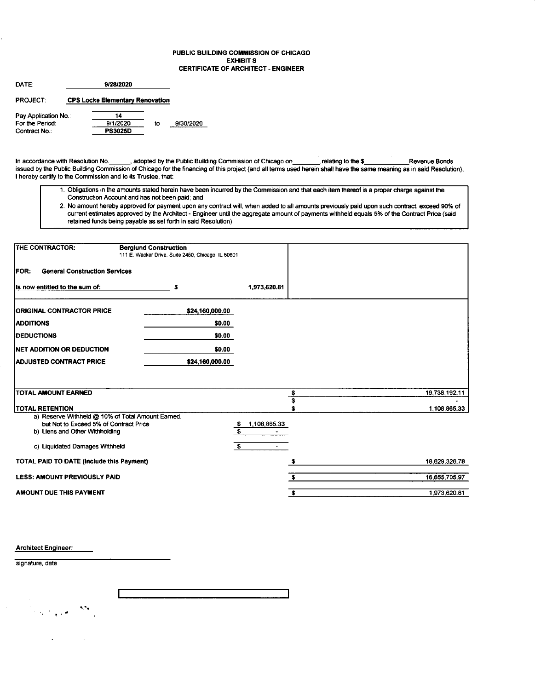### PUBLIC BUILDING COMMISSION OF CHICAGO **EXHIBITS CERTIFICATE OF ARCHITECT - ENGINEER**

| DATE:                | 9/28/2020 |                                        |    |           |  |  |  |  |
|----------------------|-----------|----------------------------------------|----|-----------|--|--|--|--|
| <b>PROJECT:</b>      |           | <b>CPS Locke Elementary Renovation</b> |    |           |  |  |  |  |
| Pay Application No.: |           | 14                                     |    |           |  |  |  |  |
| For the Period:      |           | 9/1/2020                               | to | 9/30/2020 |  |  |  |  |
| Contract No.:        |           | <b>PS3025D</b>                         |    |           |  |  |  |  |

In accordance with Resolution No. \_\_\_\_\_, adopted by the Public Building Commission of Chicago on\_\_\_\_\_\_, relating to the \$\_\_\_\_\_\_\_\_Revenue Bonds<br>issued by the Public Building Commission of Chicago for the financing of this p I hereby certify to the Commission and to its Trustee, that:

- 1. Obligations in the amounts stated herein have been incurred by the Commission and that each item thereof is a proper charge against the Construction Account and has not been paid; and
- 2. No amount hereby approved for payment upon any contract will, when added to all amounts previously paid upon such contract, exceed 90% of current estimates approved by the Architect Engineer until the aggregate amount retained funds being payable as set forth in said Resolution).

| THE CONTRACTOR:                                                          | <b>Berglund Construction</b><br>111 E. Wacker Drive, Suite 2450, Chicago, IL 60601 |                                   |               |               |
|--------------------------------------------------------------------------|------------------------------------------------------------------------------------|-----------------------------------|---------------|---------------|
| <b>FOR:</b><br><b>General Construction Services</b>                      |                                                                                    |                                   |               |               |
| Its now entitled to the sum of:                                          | s                                                                                  | 1,973,620.81                      |               |               |
| <b>ORIGINAL CONTRACTOR PRICE</b>                                         | \$24,160,000.00                                                                    |                                   |               |               |
| <b>ADDITIONS</b>                                                         | \$0.00                                                                             |                                   |               |               |
| <b>DEDUCTIONS</b>                                                        | \$0.00                                                                             |                                   |               |               |
| <b>INET ADDITION OR DEDUCTION</b>                                        | \$0.00                                                                             |                                   |               |               |
| <b>ADJUSTED CONTRACT PRICE</b>                                           | \$24,160,000.00                                                                    |                                   |               |               |
|                                                                          |                                                                                    |                                   |               |               |
| <b>TOTAL AMOUNT EARNED</b>                                               |                                                                                    |                                   | $\frac{1}{3}$ | 19,738,192.11 |
| <b>TOTAL RETENTION</b>                                                   |                                                                                    |                                   | \$            | 1,108,865.33  |
| a) Reserve Withheld @ 10% of Total Amount Earned,                        |                                                                                    |                                   |               |               |
| but Not to Exceed 5% of Contract Price<br>b) Liens and Other Withholding |                                                                                    | 1,108,865.33<br>$\mathbf{s}$<br>s |               |               |
| c) Liquidated Damages Withheld                                           |                                                                                    | s.                                |               |               |
|                                                                          |                                                                                    |                                   |               |               |
| TOTAL PAID TO DATE (Include this Payment)                                |                                                                                    |                                   | \$            | 18,629,326.78 |
| <b>LESS: AMOUNT PREVIOUSLY PAID</b>                                      |                                                                                    |                                   | s.            | 16,655,705.97 |
| AMOUNT DUE THIS PAYMENT                                                  |                                                                                    |                                   | $\sqrt{2}$    | 1,973,620.81  |

**Architect Engineer:** 

signature, date

 $\mathcal{L}^{\bullet}$  $\mathcal{L}^{\text{max}}(\mathcal{A})$  .

 $\sim 1$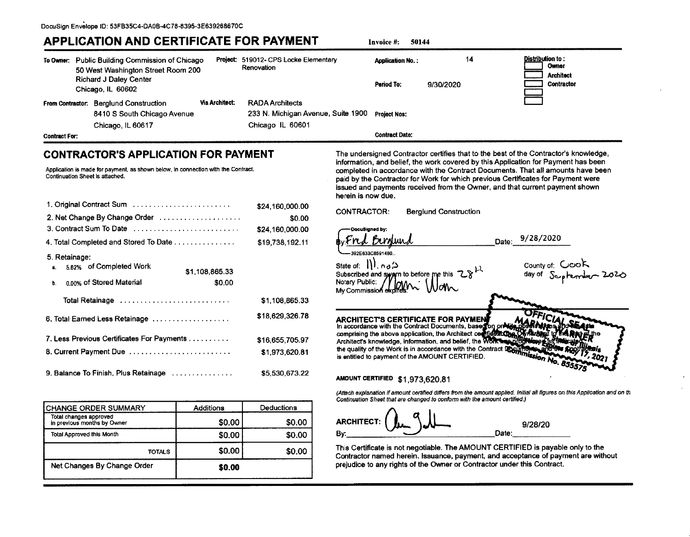# **APPLICATION AND CERTIFICATE FOR PAYMENT**

 $14$ Distribution to: To Owner: Public Building Commission of Chicago Project: 519012- CPS Locke Elementary **Application No.:** Owner Renovation 50 West Washington Street Room 200 **Architect Richard J Daley Center** Period To: 9/30/2020 Contractor Chicago, IL 60602 **Via Architect: RADA Architects** From Contractor: Berglund Construction 8410 S South Chicago Avenue 233 N. Michigan Avenue, Suite 1900 **Project Nos:** Chicago IL 60601 Chicago, IL 60617 **Contract Date: Contract For:** 

## **CONTRACTOR'S APPLICATION FOR PAYMENT**

Application is made for payment, as shown below, in connection with the Contract. Continuation Sheet is attached.

| 2. Net Change By Change Order                                    | \$24,160,000.00           |
|------------------------------------------------------------------|---------------------------|
| 3. Contract Sum To Date                                          | \$0.00<br>\$24,160,000.00 |
|                                                                  |                           |
| 4. Total Completed and Stored To Date                            | \$19,738,192.11           |
| 5. Retainage:<br>5.82% of Completed Work<br>а.<br>\$1,108,865.33 |                           |
| 0.00% of Stored Material<br>\$0.00<br>b.                         |                           |
|                                                                  | \$1,108,865.33            |
| 6. Total Earned Less Retainage                                   | \$18,629,326.78           |
| 7. Less Previous Certificates For Payments                       | \$16,655,705.97           |
| 8. Current Payment Due                                           | \$1,973,620.81            |
| 9. Balance To Finish, Plus Retainage                             | \$5,530,673.22            |

| CHANGE ORDER SUMMARY                                  | <b>Additions</b> | Deductions |
|-------------------------------------------------------|------------------|------------|
| Total changes approved<br>in previous months by Owner | \$0.00           | \$0.00     |
| <b>Total Approved this Month</b>                      | \$0.00           | \$0.00     |
| TOTALS                                                | \$0.00           | \$0.00     |
| Net Changes By Change Order                           | \$0.00           |            |

The undersigned Contractor certifies that to the best of the Contractor's knowledge, information, and belief, the work covered by this Application for Payment has been completed in accordance with the Contract Documents. That all amounts have been paid by the Contractor for Work for which previous Certificates for Payment were issued and payments received from the Owner, and that current payment shown herein is now due.

**CONTRACTOR: Berglund Construction** 

**DocuSianed by** 

392F833C8591480

Invoice #:

50144

State of: 11. no.2 Subscribed and swarn to before me this  $28<sup>11</sup>$ Notary Public: Mv Commission

County of: COOR day of S<sub>op</sub>

9/28/2020

Date:

**ARCHITECT'S CERTIFICATE FOR PAYMEN** In accordance with the Contract Documents, based on in accordance with the Contract Documents, base for or Nine<br>comprising the above application, the Architect contries to the Architect's knowledge, information, and belief, the Works the quality of the Work is in accordance with the Contract LOGI is entitled to payment of the AMOUNT CERTIFIED.

## AMOUNT CERTIFIED \$1,973,620.81

(Attach explanation if amount certified differs from the amount applied. Initial all figures on this Application and on th Continuation Sheet that are changed to conform with the amount certified.)

**ARCHITECT:** 9/28/20 Date: Bγ

This Certificate is not negotiable. The AMOUNT CERTIFIED is payable only to the Contractor named herein, Issuance, payment, and acceptance of payment are without prejudice to any rights of the Owner or Contractor under this Contract.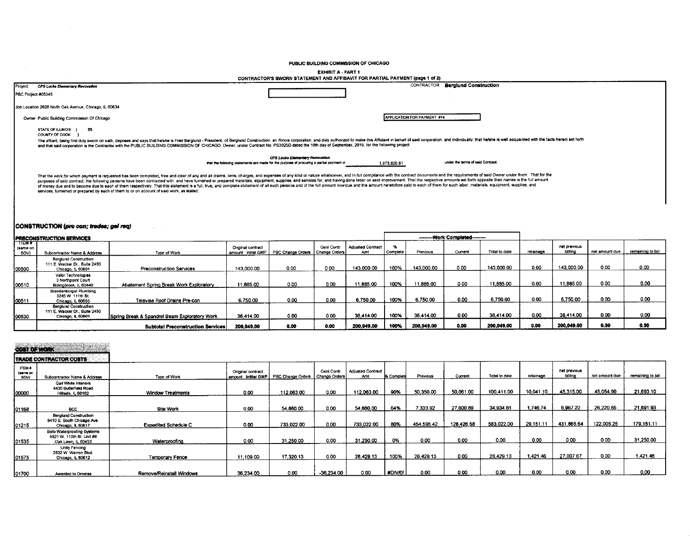PUBLIC BUILDING COMMISSION OF CHICAGO

**EXHIBIT A - PART 1** 

| CONTRACTOR'S SWORN STATEMENT AND AFFIDAVIT FOR PARTIAL PAYMENT (page 1 of 2)                                                                                                                                                                                                                                                                                                                                                                                                                                                                                                                                                                                                                                                                                                                    |                                                   |
|-------------------------------------------------------------------------------------------------------------------------------------------------------------------------------------------------------------------------------------------------------------------------------------------------------------------------------------------------------------------------------------------------------------------------------------------------------------------------------------------------------------------------------------------------------------------------------------------------------------------------------------------------------------------------------------------------------------------------------------------------------------------------------------------------|---------------------------------------------------|
| CPS Locke Elementary Revovation<br>Project                                                                                                                                                                                                                                                                                                                                                                                                                                                                                                                                                                                                                                                                                                                                                      | CONTRACTOR<br><b>Berglund Construction</b>        |
| PBC Project #05345                                                                                                                                                                                                                                                                                                                                                                                                                                                                                                                                                                                                                                                                                                                                                                              |                                                   |
| Job Location 2828 North Oak Avenue, Chicago, IL 60634                                                                                                                                                                                                                                                                                                                                                                                                                                                                                                                                                                                                                                                                                                                                           |                                                   |
| Owner Public Building Commission Of Chicago                                                                                                                                                                                                                                                                                                                                                                                                                                                                                                                                                                                                                                                                                                                                                     | <b>APPLICATION FOR PAYMENT #14</b>                |
| STATE OF ILLINOIS } \$\$<br>COUNTY OF COOK                                                                                                                                                                                                                                                                                                                                                                                                                                                                                                                                                                                                                                                                                                                                                      |                                                   |
| The affiant, being first duly sworn on oath, deposes and says that helshe is Fred Bergiund - President, of Bergiund Construction, an Illinois corporation, and duly authorized to make this Affidavit in behalf of said corpor<br>and that said corporation is the Contractor with the PUBLIC BUILDING COMMISSION OF CHICAGO, Owner, under Contract No. PS3025D dated the 10th day of September, 2019, for the following project:                                                                                                                                                                                                                                                                                                                                                               |                                                   |
| CPS Locke Elementary Renovation<br>that the following statements are made for the purpose of procuring a partial payment of                                                                                                                                                                                                                                                                                                                                                                                                                                                                                                                                                                                                                                                                     | under the terms of said Contract:<br>1,973,620.81 |
| That the work for which payment is requested has been completed, free and clear of any and ail claims, liens, charges, and expenses of any kind or nature whatsoever, and in full compliance with the contract documents and t<br>purposes of said contract, the following persons have been contracted with, and have furnished or prepared materials, equipment, supplies, and services for, and having done labor on said improvement. That the respective am<br>of money due and to become due to each of them respectively. That this statement is a full, true, and complete statement of all such persons and of the full amount now due and the amount heretofore paid to each of them for<br>services, furnished or prepared by each of them to or on account of said work, as stated: |                                                   |

#### CONSTRUCTION (pre-con; trades; gel req)

| <b>IPRECONSTRUCTION SERVICES</b>            |                                                                                    |                                               |                                         |                   |                                    |                                 |            | ---------Work Completed-------- |         |               |           |                         |                |                   |
|---------------------------------------------|------------------------------------------------------------------------------------|-----------------------------------------------|-----------------------------------------|-------------------|------------------------------------|---------------------------------|------------|---------------------------------|---------|---------------|-----------|-------------------------|----------------|-------------------|
| <b>TTEM#</b><br>(same on<br>$\frac{SOV}{2}$ | Subcontractor Name & Address                                                       | Type of Work                                  | Onginal contract<br>amount: initial GMP | PBC Change Orders | <b>Gent Contr</b><br>Change Orders | <b>Adjusted Contract</b><br>Amt | l Complete | Previous                        | Current | Total to date | retainage | net previous<br>billing | net amount due | remaining to bill |
| 100500                                      | <b>Berglund Construction</b><br>111 E. Wacker Dr., Suite 2450<br>Chicago, IL 60601 | <b>Preconstruction Services</b>               | 143,000.00                              | 0.00              | 0.00                               | 143,000.00                      | 100%       | 143.000.00                      | 0.00    | 143.000.00    | 0.00      | 143.000.00              | 0.00           | 0.00              |
| 00510                                       | Valor Technologies<br>3 Northpoint Court<br>Bolingbrook, IL 60440                  | Abatement Spring Break Work Exploratory       | 11,885.00                               | 0.00              | 0.00                               | 11.885.00                       | 100%       | 11,885.00                       | 0.00    | 11,885.00     | 0.00      | 11,885.00               | 0.00           | 0.00              |
| 00511                                       | Brandenburger Plumbing<br>3245 W. 111th St.<br>Chicago, IL 60655                   | Televise Roof Drains Pre-con                  | 6,750.00                                | 0.00              | 0.00                               | 6.750.00                        | 100%       | 6.750.00                        | 0.00    | 6.750.00      | 0.00      | 6,750.00                | 0.00           | 0.00              |
| 100530                                      | <b>Berglund Construction</b><br>111 E. Wacker Dr., Suite 2450<br>Chicago, IL 60601 | Spring Break & Spandrel Beam Exploratory Work | 38.414.00                               | 0.00              | 0.00                               | 38,414.00                       | 100%       | 38.414.00                       | 0.00    | 38.414.00     | 0.00      | 38.414.00               | 0.00           | 0.00              |
|                                             |                                                                                    | <b>Subtotal Preconstruction Services</b>      | 200.049.00                              | 0.00              | 0.00                               | 200.049.00                      | 100%       | 200,049.00                      | 0.00    | 200.049.00    | 0.00      | 200,049.00              | 0.00           | 0.00              |

net previous

billing

45,315.00

6,967.22

431,865.64

 $0.00$ 

27,007.67

 $0.00$ 

retainage

10,041.10

1,746.74

29,151.11

 $0.00$ 

1,421.46

 $0.00$ 

net amount due

45,054.90

26,220.85

122,005.25

 $0.00$ 

 $0.00$ 

 $0.00$ 

remaining to bill

21,693.10

21,691.93

179,151.11

31,250.00

1,421.46

 $0.00$ 

Total to date

100,411.00

34,934.81

583,022.00

 $0.00$ 

28,429.13

 $0.00$ 

 $0.00$ 

#DIV/01

 $0.00$ 

## cost of work

Awarded to Ornelas

01700

#### **TRADE CONTRACTOR COSTS ITEM #** Original contract Gent Contr Adjusted Contract (same on Type of Work amount: initial GMP PBC Change Orders Change Orders Amt % Complet Previous Current Subcontractor Name & Address Gail White Interiors<br>4430 Butterfield Road<br>Hillside, IL 60162 50,061.00  $0.00$ 112,063.00  $0.00$ 112,063.00 90% 50,350.00 00000 **Window Treatments** 7,333.92 27,600.89 01168  $_{\text{BCC}}$ Site Work  $0.00$ 54,880.00  $0.00$ 54,880.00 64% Berglund Construction<br>8410 S. South Chicago Ave.<br>Chicago, IL 60617 454,595.42 128,426.58 733,022.00  $0.00$ 733,022.00 80% 01215 **Expedited Schedule C**  $0.00$ Bofo Waterproofing Systems<br>5521 W. 110th St. Unit #9 31,250.00  $0%$  $0.00$  $0.00$  $0.00$ 31,250.00  $0,00$ 01535 Oak Lawn, IL 60453 Waterproofing Unity Fencing<br>2532 W. Warren Blvd. 17,320.13  $0.00$ 28,429.13 100% 28,429.13  $0.00$ 01575 Chicago, IL 60612 Temporary Fence 11,109.00

36,234.00

Remove/Reinstall Windows

 $0.00$ 

 $-36,234.00$ 

 $0.00$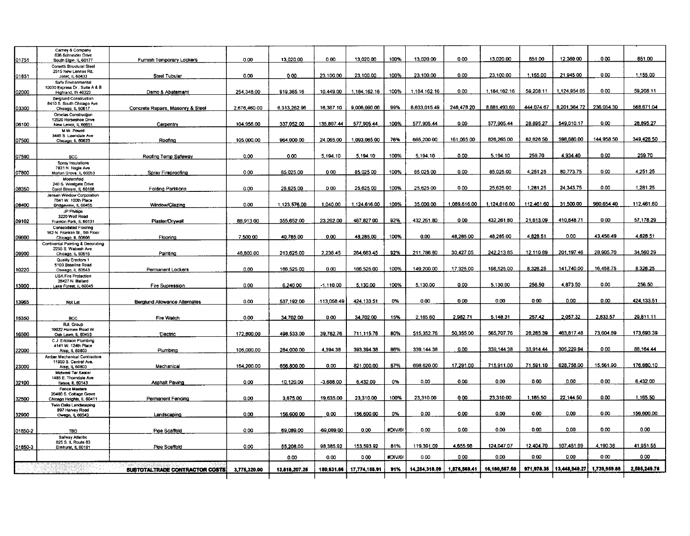|              | Carney & Company<br>636 Schneider Drive             |                                       |              |               |             |               |         |               |              | 13.020.00     | 651.00     |               | 0.00         | 651.00       |
|--------------|-----------------------------------------------------|---------------------------------------|--------------|---------------|-------------|---------------|---------|---------------|--------------|---------------|------------|---------------|--------------|--------------|
| 01751        | South Elgin, IL 60177                               | Furnish Temporary Lockers             | 0.00         | 13,020.00     | 0.00        | 13.020.00     | 100%    | 13.020.00     | 0.00         |               |            | 12,369.00     |              |              |
|              | Corsetti Structural Steel                           |                                       |              |               |             |               |         |               |              |               |            |               |              |              |
| 01851        | 2515 New Lennox Rd.<br>Joliet, IL 60433             | Steel Tubular                         | 0.00         | 0.00          | 23.100.00   | 23.100.00     | 100%    | 23.100.00     | 0.00         | 23,100.00     | 1,155.00   | 21,945.00     | 0.00         | 1,155.00     |
|              | Safe Environmental                                  |                                       |              |               |             |               |         |               |              |               |            |               |              |              |
|              | 10030 Express Dr., Suite A & B                      |                                       |              |               |             |               |         |               |              |               |            |               |              |              |
| 02000        | Highland, IN 46323                                  | Demo & Abatement                      | 254.348.00   | 919.365.16    | 10,449.00   | 1,184,162.16  | 100%    | 1,184,162.16  | 0.00         | 1.184.162.16  | 59,208.11  | 1,124,954.05  | 0.00         | 59,208.11    |
|              | Berglund Construction<br>8410 S. South Chicago Ave. |                                       |              |               |             |               |         |               |              |               |            |               |              |              |
| 03300        | Chicago, IL 60617                                   | Concrete Repairs, Masonry & Steel     | 2.676.460.00 | 6.313.262.96  | 16,367.10   | 9,006,090.06  | 99%     | 8.633.015.49  | 248,478.20   | 8,881,493.69  | 444,074.67 | 8,201,364.72  | 236,054.30   | 568,671.04   |
|              | Ornelas Construction                                |                                       |              |               |             |               |         |               |              |               |            |               |              |              |
|              | 12520 Horseshoe Drive                               |                                       |              |               | 135,897.44  | 577,905.44    | 100%    | 577,905.44    | 0.00         | 577,905.44    | 28.895.27  | 549,010.17    | 0.00         | 28,895.27    |
| 06100        | New Lenox, IL 60651                                 | Carpentry                             | 104.956.00   | 337,052.00    |             |               |         |               |              |               |            |               |              |              |
|              | M.W. Powell<br>3445 S. Lawndale Ave.                |                                       |              |               |             |               |         |               |              |               |            |               |              |              |
| 07500        | Chicago, IL 60623                                   | Roofing                               | 105.000.00   | 964.000.00    | 24.065.00   | 1.093.065.00  | 76%     | 665,200.00    | 161,065.00   | 826,265.00    | 82,626.50  | 598,680.00    | 144,958.50   | 349,426.50   |
|              |                                                     |                                       |              |               |             |               |         |               |              |               |            |               |              |              |
| 07590        | <b>BCC</b>                                          | Roofing Temp Safeway                  | 0.00         | 0.00          | 5,194.10    | 5.194.10      | 100%    | 5,194.10      | 0.00         | 5,194.10      | 259.70     | 4.934.40      | 0.00         | 259.70       |
|              | Spray Insulations                                   |                                       |              |               |             |               |         |               |              |               |            |               |              |              |
|              | 7831 N. Nagle Ave.                                  |                                       |              |               |             |               |         |               |              |               |            |               |              |              |
| 07800        | Morton Grove, IL 60053                              | Spray Fireproofing                    | 0.00         | 85.025.00     | 0.00        | 85.025.00     | 100%    | 85.025.00     | 0.00         | 85,025.00     | 4,251.25   | 80,773.75     | 0.00         | 4.251.25     |
|              | Modernfold<br>240 S. Westgate Drive                 |                                       |              |               |             |               |         |               |              |               |            |               |              |              |
| 08350        | Carol Stream, IL 60188                              | <b>Folding Partitions</b>             | 0.00         | 25,625.00     | 0.00        | 25,625.00     | 100%    | 25,625.00     | 0.00         | 25,625.00     | 1,281.25   | 24,343.75     | 0.00         | 1,281.25     |
|              | Jensen Window Corporation                           |                                       |              |               |             |               |         |               |              |               |            |               |              |              |
|              | 7641 W 100th Place                                  |                                       | 0.00         | 1.123.576.00  | 1,040.00    | 1.124,616.00  | 100%    | 35.000.00     | 1.089.616.00 | 1,124,616.00  | 112.461.60 | 31,500.00     | 980.654.40   | 112.461.60   |
| <b>08400</b> | Bridgeview, IL 60455<br>JP Phillips                 | Window/Glazing                        |              |               |             |               |         |               |              |               |            |               |              |              |
|              | 3220 Wolf Road                                      |                                       |              |               |             |               |         |               |              |               |            |               |              |              |
| 09102        | Franklin Park, IL 60131                             | Plaster/Drywall                       | 88,913.00    | 355,652.00    | 23,262.00   | 467,827.00    | 92%     | 432,261.80    | 0.00         | 432.261.80    | 21.613.09  | 410.648.71    | 0.00         | 57.178.29    |
|              | Consolidated Flooring                               |                                       |              |               |             |               |         |               |              |               |            |               |              |              |
| 09600        | 162 N. Franklin St., 5th Floor<br>Chicago, IL 60606 | Flooring                              | 7,500.00     | 40,785.00     | 0.00        | 48.285.00     | 100%    | 0.00          | 48.285.00    | 48,285.00     | 4,828.51   | 0.00          | 43.456.49    | 4.828.51     |
|              | <b>Continental Painting &amp; Decorating</b>        |                                       |              |               |             |               |         |               |              |               |            |               |              |              |
|              | 2255 S. Wabash Ave.                                 |                                       |              |               |             |               |         |               |              |               |            | 201.197.46    |              | 34,560.29    |
| 09900        | Chicago, IL 60616                                   | Painting                              | 48,800.00    | 213,625.00    | 2.238.45    | 264.663.45    | 92%     | 211,786.80    | 30,427.05    | 242.213.85    | 12,110.69  |               | 28,905.70    |              |
|              | Quality Erectors 1<br>5100 Baseline Road            |                                       |              |               |             |               |         |               |              |               |            |               |              |              |
| 10220        | Oswego, il. 60543                                   | Permanent Lockers                     | 0.00         | 166,525.00    | 0.00        | 166,525.00    | 100%    | 149,200.00    | 17.325.00    | 166.525.00    | 8.326.25   | 141.740.00    | 16.458.75    | 8.326.25     |
|              | <b>USA Fire Protection</b>                          |                                       |              |               |             |               |         |               |              |               |            |               |              |              |
| 13900        | 28427 N. Ballard<br>Lake Forest, IL 60045           | Fire Supression                       | 0.00         | 6,240.00      | $-1.110.00$ | 5.130.00      | 100%    | 5,130.00      | 0.00         | 5,130.00      | 256.50     | 4.873.50      | 0.00         | 256.50       |
|              |                                                     |                                       |              |               |             |               |         |               |              |               |            |               |              |              |
|              |                                                     |                                       |              |               |             |               |         |               |              |               |            |               |              |              |
| 13965        | Not Let                                             | Berglund Allowance Alternates         | 0.00         | 537.192.00    | 113,058.49  | 424,133.51    | 0%      | 0.00          | 0.00         | 0.00          | 0.00       | 0.00          | 0.00         | 424 133.51   |
|              |                                                     |                                       |              |               |             |               |         |               |              |               |            |               |              |              |
| 15350        | <b>BCC</b>                                          | Fire Watch                            | 0.00         | 34.702.00     | 0.00        | 34,702.00     | 15%     | 2,165.60      | 2,982.71     | 5,148.31      | 257.42     | 2,057.32      | 2,833.57     | 29,811.11    |
|              | <b>RJL Group</b>                                    |                                       |              |               |             |               |         |               |              |               |            |               |              |              |
|              | 10022 Harnew Road W                                 |                                       | 172,800.00   | 498,533.00    | 39,782.76   | 711.115.76    | 80%     | 515, 352.76   | 50,355.00    | 565,707.76    | 28,285.39  | 463,817.48    | 73,604.89    | 173,693.39   |
| 16500        | Oak Lawn, IL 60453<br>C.J. Erickson Plumbing        | Electric                              |              |               |             |               |         |               |              |               |            |               |              |              |
|              | 4141 W. 124th Place                                 |                                       |              |               |             |               |         |               |              |               |            |               |              |              |
| 22000        | Alsip, IL 60803                                     | Plumbing                              | 105.000.00   | 284.000.00    | 4.394.38    | 393,394.38    | 86%     | 339, 144.38   | 0.00         | 339.144.38    | 33.914.44  | 305,229.94    | 0.00         | 88.164.44    |
|              | Amber Mechanical Contractors                        |                                       |              |               |             |               |         |               |              |               |            |               |              |              |
| 23000        | 11950 S. Central Ave.<br>Alsip, IL 60803            | Mechanical                            | 164,200.00   | 656,800.00    | 0.00        | 821,000.00    | 87%     | 698,620.00    | 17,291.00    | 715,911.00    | 71,591.10  | 628,756.00    | 15,561.90    | 176,680.10   |
|              | Midwest Tar Sealer                                  |                                       |              |               |             |               |         |               |              |               |            |               |              |              |
|              | 1485 E. Thorndale Ave.                              |                                       |              |               |             | 6.432.00      | 0%      | 0.00          | 0.00         | 0.00          | 0.00       | 0.00          | 0.00         | 6,432.00     |
| 32100        | Itasca, IL 60143                                    | <b>Asphalt Paving</b>                 | 0.00         | 10,120.00     | $-3,688.00$ |               |         |               |              |               |            |               |              |              |
|              | Fence Masters<br>20400 S. Cottage Grove             |                                       |              |               |             |               |         |               |              |               |            |               |              |              |
| 32500        | Chicago Heights, IL 60411                           | Permanent Fencing                     | 0.00         | 3,675.00      | 19,635.00   | 23,310.00     | 100%    | 23,310.00     | 0.00         | 23.310.00     | 1.165.50   | 22.144.50     | 0.00         | 1,165.50     |
|              | Twin Oaks Landscaping                               |                                       |              |               |             |               |         |               |              |               |            |               |              |              |
| 32900        | 997 Harvey Road<br>Owego, IL 60543                  | Landscaping                           | 0.00         | 156,600.00    | 0.00        | 156,600.00    | 0%      | 0.00          | 0.00         | 0.00          | 0.00       | 0.00          | 0.00         | 156,600.00   |
|              |                                                     |                                       |              |               |             |               |         |               |              |               |            |               |              |              |
|              |                                                     |                                       |              |               |             |               |         |               |              |               |            |               |              |              |
| 01850-2      | <b>TBD</b>                                          | Pipe Scaffold                         | 0.00         | 69,089.00     | -69,089.00  | 0.00          | #DIV/0! | 0.00          | 0.00         | 0.00          | 0.00       | 0.00          | 0.00         | 0.00         |
|              | Safway Atlantic<br>625 S. IL Route 83               |                                       |              |               |             |               |         |               |              |               |            |               |              |              |
| 01850-3      | Elmhurst, 8L 60181                                  | Pipe Scaffold                         | 0.00         | 55,208.00     | 98.385.92   | 153,593.92    | 81%     | 119,391.09    | 4.655.98     | 124.047.07    | 12.404.70  | 107.451.99    | 4,190.38     | 41.951.55    |
|              |                                                     |                                       |              |               |             |               |         |               |              |               |            |               |              | 0.00         |
|              |                                                     |                                       |              | 0.00          | 0.00        | 0.00          | #DIV/0! | 0.00          | 0.00         | 0.00          | 0.00       | 0.00          | 0.00         |              |
|              |                                                     | <b>SUBTOTALTRADE CONTRACTOR COSTS</b> | 3,775,320.00 | 13.818,207.26 | 180.631.66  | 17,774,158.91 | 91%     | 14.284.318.09 | 1.876.569.41 | 16.150.887.50 | 971.978.35 | 13,448,949.27 | 1,739,959.88 | 2.585,249.76 |
|              |                                                     |                                       |              |               |             |               |         |               |              |               |            |               |              |              |
|              |                                                     |                                       |              |               |             |               |         |               |              |               |            |               |              |              |